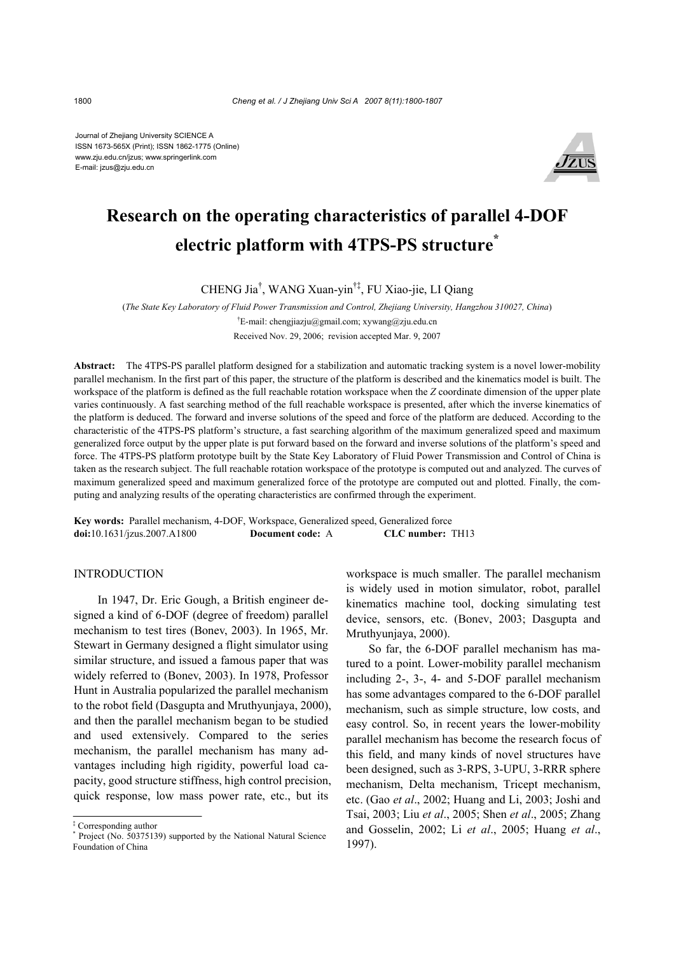Journal of Zhejiang University SCIENCE A ISSN 1673-565X (Print); ISSN 1862-1775 (Online) www.zju.edu.cn/jzus; www.springerlink.com E-mail: jzus@zju.edu.cn



# **Research on the operating characteristics of parallel 4-DOF electric platform with 4TPS-PS structure\***

CHENG Jia† , WANG Xuan-yin†‡, FU Xiao-jie, LI Qiang

(*The State Key Laboratory of Fluid Power Transmission and Control, Zhejiang University, Hangzhou 310027, China*)

† E-mail: chengjiazju@gmail.com; xywang@zju.edu.cn

Received Nov. 29, 2006; revision accepted Mar. 9, 2007

**Abstract:** The 4TPS-PS parallel platform designed for a stabilization and automatic tracking system is a novel lower-mobility parallel mechanism. In the first part of this paper, the structure of the platform is described and the kinematics model is built. The workspace of the platform is defined as the full reachable rotation workspace when the *Z* coordinate dimension of the upper plate varies continuously. A fast searching method of the full reachable workspace is presented, after which the inverse kinematics of the platform is deduced. The forward and inverse solutions of the speed and force of the platform are deduced. According to the characteristic of the 4TPS-PS platform's structure, a fast searching algorithm of the maximum generalized speed and maximum generalized force output by the upper plate is put forward based on the forward and inverse solutions of the platform's speed and force. The 4TPS-PS platform prototype built by the State Key Laboratory of Fluid Power Transmission and Control of China is taken as the research subject. The full reachable rotation workspace of the prototype is computed out and analyzed. The curves of maximum generalized speed and maximum generalized force of the prototype are computed out and plotted. Finally, the computing and analyzing results of the operating characteristics are confirmed through the experiment.

**Key words:** Parallel mechanism, 4-DOF, Workspace, Generalized speed, Generalized force **doi:**10.1631/jzus.2007.A1800 **Document code:** A **CLC number:** TH13

#### INTRODUCTION

In 1947, Dr. Eric Gough, a British engineer designed a kind of 6-DOF (degree of freedom) parallel mechanism to test tires (Bonev, 2003). In 1965, Mr. Stewart in Germany designed a flight simulator using similar structure, and issued a famous paper that was widely referred to (Bonev, 2003). In 1978, Professor Hunt in Australia popularized the parallel mechanism to the robot field (Dasgupta and Mruthyunjaya, 2000), and then the parallel mechanism began to be studied and used extensively. Compared to the series mechanism, the parallel mechanism has many advantages including high rigidity, powerful load capacity, good structure stiffness, high control precision, quick response, low mass power rate, etc., but its

workspace is much smaller. The parallel mechanism is widely used in motion simulator, robot, parallel kinematics machine tool, docking simulating test device, sensors, etc. (Bonev, 2003; Dasgupta and Mruthyunjaya, 2000).

So far, the 6-DOF parallel mechanism has matured to a point. Lower-mobility parallel mechanism including 2-, 3-, 4- and 5-DOF parallel mechanism has some advantages compared to the 6-DOF parallel mechanism, such as simple structure, low costs, and easy control. So, in recent years the lower-mobility parallel mechanism has become the research focus of this field, and many kinds of novel structures have been designed, such as 3-RPS, 3-UPU, 3-RRR sphere mechanism, Delta mechanism, Tricept mechanism, etc. (Gao *et al*., 2002; Huang and Li, 2003; Joshi and Tsai, 2003; Liu *et al*., 2005; Shen *et al*., 2005; Zhang and Gosselin, 2002; Li *et al*., 2005; Huang *et al*., 1997).

<sup>‡</sup> Corresponding author

<sup>\*</sup> Project (No. 50375139) supported by the National Natural Science Foundation of China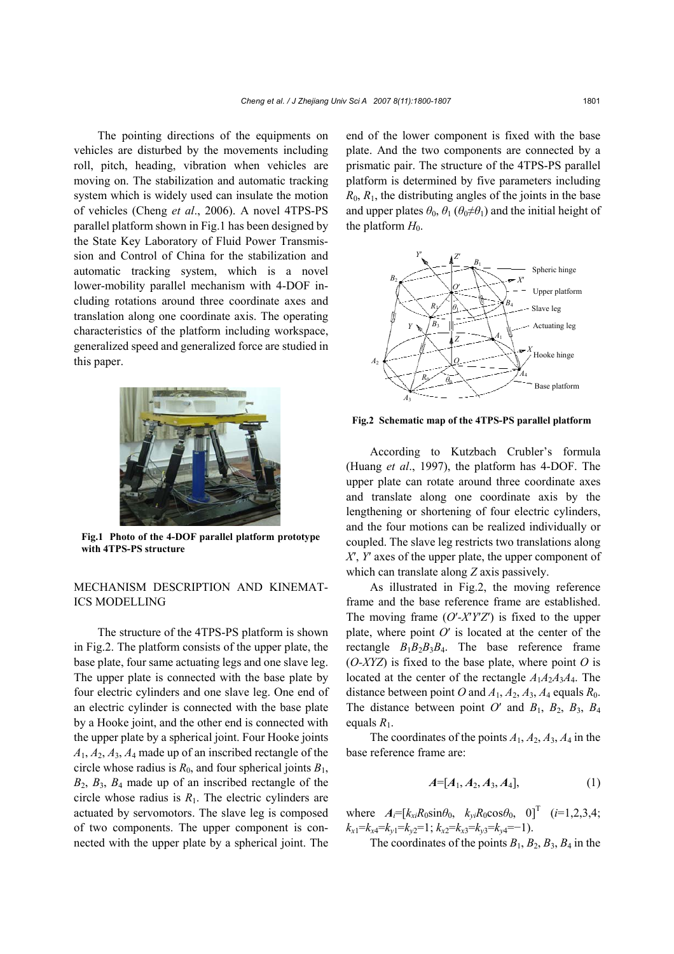The pointing directions of the equipments on vehicles are disturbed by the movements including roll, pitch, heading, vibration when vehicles are moving on. The stabilization and automatic tracking system which is widely used can insulate the motion of vehicles (Cheng *et al*., 2006). A novel 4TPS-PS parallel platform shown in Fig.1 has been designed by the State Key Laboratory of Fluid Power Transmission and Control of China for the stabilization and automatic tracking system, which is a novel lower-mobility parallel mechanism with 4-DOF including rotations around three coordinate axes and translation along one coordinate axis. The operating characteristics of the platform including workspace, generalized speed and generalized force are studied in this paper.



**Fig.1 Photo of the 4-DOF parallel platform prototype with 4TPS-PS structure** 

### MECHANISM DESCRIPTION AND KINEMAT-ICS MODELLING

The structure of the 4TPS-PS platform is shown in Fig.2. The platform consists of the upper plate, the base plate, four same actuating legs and one slave leg. The upper plate is connected with the base plate by four electric cylinders and one slave leg. One end of an electric cylinder is connected with the base plate by a Hooke joint, and the other end is connected with the upper plate by a spherical joint. Four Hooke joints *A*1, *A*2, *A*3, *A*4 made up of an inscribed rectangle of the circle whose radius is  $R_0$ , and four spherical joints  $B_1$ , *B*2, *B*3, *B*4 made up of an inscribed rectangle of the circle whose radius is  $R_1$ . The electric cylinders are actuated by servomotors. The slave leg is composed of two components. The upper component is connected with the upper plate by a spherical joint. The

end of the lower component is fixed with the base plate. And the two components are connected by a prismatic pair. The structure of the 4TPS-PS parallel platform is determined by five parameters including  $R_0$ ,  $R_1$ , the distributing angles of the joints in the base and upper plates  $\theta_0$ ,  $\theta_1$  ( $\theta_0 \neq \theta_1$ ) and the initial height of the platform  $H_0$ .



**Fig.2 Schematic map of the 4TPS-PS parallel platform**

According to Kutzbach Crubler's formula (Huang *et al*., 1997), the platform has 4-DOF. The upper plate can rotate around three coordinate axes and translate along one coordinate axis by the lengthening or shortening of four electric cylinders, and the four motions can be realized individually or coupled. The slave leg restricts two translations along *X*′, *Y*′ axes of the upper plate, the upper component of which can translate along *Z* axis passively.

As illustrated in Fig.2, the moving reference frame and the base reference frame are established. The moving frame (*O*′*-X*′*Y*′*Z*′) is fixed to the upper plate, where point *O*′ is located at the center of the rectangle  $B_1B_2B_3B_4$ . The base reference frame (*O-XYZ*) is fixed to the base plate, where point *O* is located at the center of the rectangle  $A_1A_2A_3A_4$ . The distance between point *O* and  $A_1$ ,  $A_2$ ,  $A_3$ ,  $A_4$  equals  $R_0$ . The distance between point  $O'$  and  $B_1$ ,  $B_2$ ,  $B_3$ ,  $B_4$ equals *R*1.

The coordinates of the points *A*1, *A*2, *A*3, *A*4 in the base reference frame are:

$$
A=[A_1, A_2, A_3, A_4], \t(1)
$$

where  $A_i = [k_{xi}R_0\sin\theta_0, k_{yi}R_0\cos\theta_0, 0]^T$   $(i=1,2,3,4;$  $k_{x1} = k_{x4} = k_{y1} = k_{z2} = 1$ ;  $k_{x2} = k_{x3} = k_{y3} = k_{y4} = -1$ ).

The coordinates of the points  $B_1$ ,  $B_2$ ,  $B_3$ ,  $B_4$  in the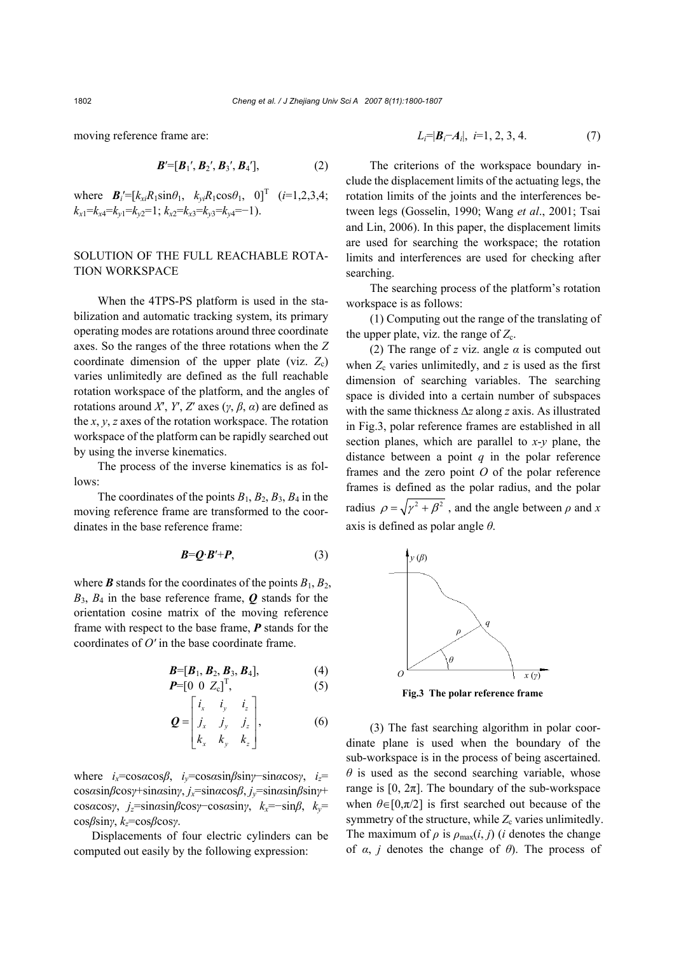moving reference frame are:

$$
B'=[B_1', B_2', B_3', B_4'], \qquad (2)
$$

where  $B_i'=[k_{xi}R_1\sin\theta_1, k_{yi}R_1\cos\theta_1, 0]^T$  (*i*=1,2,3,4;  $k_{x1} = k_{x4} = k_{y1} = k_{y2} = 1$ ;  $k_{x2} = k_{x3} = k_{y3} = k_{y4} = -1$ ).

### SOLUTION OF THE FULL REACHABLE ROTA-TION WORKSPACE

When the 4TPS-PS platform is used in the stabilization and automatic tracking system, its primary operating modes are rotations around three coordinate axes. So the ranges of the three rotations when the *Z* coordinate dimension of the upper plate (viz.  $Z_c$ ) varies unlimitedly are defined as the full reachable rotation workspace of the platform, and the angles of rotations around *X*′, *Y*′, *Z*′ axes (*γ*, *β*, *α*) are defined as the *x*, *y*, *z* axes of the rotation workspace. The rotation workspace of the platform can be rapidly searched out by using the inverse kinematics.

The process of the inverse kinematics is as follows:

The coordinates of the points  $B_1$ ,  $B_2$ ,  $B_3$ ,  $B_4$  in the moving reference frame are transformed to the coordinates in the base reference frame:

$$
B = Q \cdot B' + P,\tag{3}
$$

where *B* stands for the coordinates of the points  $B_1, B_2,$  $B_3$ ,  $B_4$  in the base reference frame, **Q** stands for the orientation cosine matrix of the moving reference frame with respect to the base frame, *P* stands for the coordinates of *O′* in the base coordinate frame.

$$
B=[B1, B2, B3, B4],
$$
\n(4)  
\n**P**=[0 0 **Z**<sub>c</sub>]<sup>T</sup>, (5)

$$
\mathbf{Q} = \begin{bmatrix} i_x & i_y & i_z \\ j_x & j_y & j_z \\ k_x & k_y & k_z \end{bmatrix},\tag{6}
$$

where *ix*=cos*α*cos*β*, *iy*=cos*α*sin*β*sin*γ*−sin*α*cos*γ*, *iz*= cos*α*sin*β*cos*γ*+sin*α*sin*γ*, *jx*=sin*α*cos*β*, *jy*=sin*α*sin*β*sin*γ*+ cos*α*cos*γ*, *jz*=sin*α*sin*β*cos*γ*−cos*α*sin*γ*, *kx*=−sin*β*, *ky*= cos*β*sin*γ*, *kz*=cos*β*cos*γ*.

Displacements of four electric cylinders can be computed out easily by the following expression:

$$
L_i = |\mathbf{B}_i - \mathbf{A}_i|, \ i = 1, 2, 3, 4. \tag{7}
$$

The criterions of the workspace boundary include the displacement limits of the actuating legs, the rotation limits of the joints and the interferences between legs (Gosselin, 1990; Wang *et al*., 2001; Tsai and Lin, 2006). In this paper, the displacement limits are used for searching the workspace; the rotation limits and interferences are used for checking after searching.

The searching process of the platform's rotation workspace is as follows:

(1) Computing out the range of the translating of the upper plate, viz. the range of  $Z_c$ .

(2) The range of *z* viz. angle *α* is computed out when  $Z_c$  varies unlimitedly, and  $z$  is used as the first dimension of searching variables. The searching space is divided into a certain number of subspaces with the same thickness ∆*z* along *z* axis. As illustrated in Fig.3, polar reference frames are established in all section planes, which are parallel to *x*-*y* plane, the distance between a point *q* in the polar reference frames and the zero point *O* of the polar reference frames is defined as the polar radius, and the polar radius  $\rho = \sqrt{\gamma^2 + \beta^2}$ , and the angle between  $\rho$  and *x* axis is defined as polar angle *θ*.



**Fig.3 The polar reference frame** 

(3) The fast searching algorithm in polar coordinate plane is used when the boundary of the sub-workspace is in the process of being ascertained.  $\theta$  is used as the second searching variable, whose range is  $[0, 2\pi]$ . The boundary of the sub-workspace when  $\theta \in [0,\pi/2]$  is first searched out because of the symmetry of the structure, while  $Z_c$  varies unlimitedly. The maximum of  $\rho$  is  $\rho_{\text{max}}(i, j)$  (*i* denotes the change of  $\alpha$ , *j* denotes the change of  $\theta$ ). The process of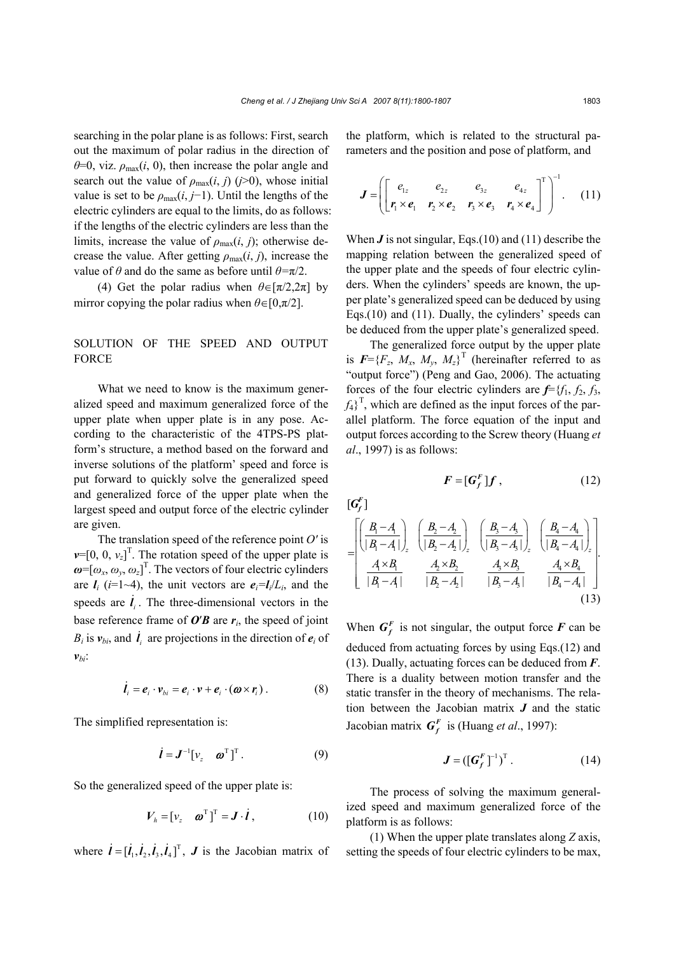searching in the polar plane is as follows: First, search out the maximum of polar radius in the direction of  $\theta$ =0, viz.  $\rho_{\text{max}}(i, 0)$ , then increase the polar angle and search out the value of  $\rho_{\text{max}}(i, j)$  ( $j > 0$ ), whose initial value is set to be  $\rho_{\text{max}}(i, j-1)$ . Until the lengths of the electric cylinders are equal to the limits, do as follows: if the lengths of the electric cylinders are less than the limits, increase the value of  $\rho_{\text{max}}(i, j)$ ; otherwise decrease the value. After getting  $\rho_{\text{max}}(i, j)$ , increase the value of  $\theta$  and do the same as before until  $\theta = \pi/2$ .

(4) Get the polar radius when  $\theta \in [\pi/2, 2\pi]$  by mirror copying the polar radius when  $\theta \in [0, \pi/2]$ .

# SOLUTION OF THE SPEED AND OUTPUT FORCE

What we need to know is the maximum generalized speed and maximum generalized force of the upper plate when upper plate is in any pose. According to the characteristic of the 4TPS-PS platform's structure, a method based on the forward and inverse solutions of the platform' speed and force is put forward to quickly solve the generalized speed and generalized force of the upper plate when the largest speed and output force of the electric cylinder are given.

The translation speed of the reference point *O′* is  $v=[0, 0, v_z]^T$ . The rotation speed of the upper plate is  $\boldsymbol{\omega}$ =[ $\omega_x$ ,  $\omega_y$ ,  $\omega_z$ ]<sup>T</sup>. The vectors of four electric cylinders are  $I_i$  (*i*=1~4), the unit vectors are  $e_i = I_i/L_i$ , and the speeds are  $\dot{i}_i$ . The three-dimensional vectors in the base reference frame of  $O'B$  are  $r_i$ , the speed of joint  $B_i$  is  $v_{bi}$ , and  $\dot{\mathbf{l}}_i$  are projections in the direction of  $e_i$  of  $v_{bi}$ :

$$
\dot{\boldsymbol{l}}_i = \boldsymbol{e}_i \cdot \boldsymbol{v}_{bi} = \boldsymbol{e}_i \cdot \boldsymbol{v} + \boldsymbol{e}_i \cdot (\boldsymbol{\omega} \times \boldsymbol{r}_i) \,. \tag{8}
$$

The simplified representation is:

$$
\dot{\boldsymbol{l}} = \boldsymbol{J}^{-1} [\boldsymbol{v}_z \quad \boldsymbol{\omega}^\mathrm{T}]^\mathrm{T} \,. \tag{9}
$$

So the generalized speed of the upper plate is:

$$
V_h = [v_z \quad \boldsymbol{\omega}^\mathrm{T}]^\mathrm{T} = \boldsymbol{J} \cdot \boldsymbol{\dot{l}} \,, \tag{10}
$$

where  $\mathbf{i} = [\mathbf{i}_1, \mathbf{i}_2, \mathbf{i}_3, \mathbf{i}_4]^T$ , **J** is the Jacobian matrix of

the platform, which is related to the structural parameters and the position and pose of platform, and

$$
\boldsymbol{J} = \left( \begin{bmatrix} e_{1z} & e_{2z} & e_{3z} & e_{4z} \\ r_1 \times e_1 & r_2 \times e_2 & r_3 \times e_3 & r_4 \times e_4 \end{bmatrix}^T \right)^{-1} . \tag{11}
$$

When *J* is not singular, Eqs.(10) and (11) describe the mapping relation between the generalized speed of the upper plate and the speeds of four electric cylinders. When the cylinders' speeds are known, the upper plate's generalized speed can be deduced by using Eqs.(10) and (11). Dually, the cylinders' speeds can be deduced from the upper plate's generalized speed.

The generalized force output by the upper plate is  $F = {F_z, M_x, M_y, M_z}^T$  (hereinafter referred to as "output force") (Peng and Gao, 2006). The actuating forces of the four electric cylinders are *f*={*f*1, *f*2, *f*3,  $f_4$ <sup>T</sup>, which are defined as the input forces of the parallel platform. The force equation of the input and output forces according to the Screw theory (Huang *et al*., 1997) is as follows:

$$
F = [G_f^F]f , \qquad (12)
$$

 $[\pmb{G}^{\pmb{F}}_f]$ 

$$
= \begin{bmatrix} \left(\frac{B_{1}-A_{1}}{|B_{1}-A_{1}|}\right)_{z} & \left(\frac{B_{2}-A_{2}}{|B_{2}-A_{2}|}\right)_{z} & \left(\frac{B_{3}-A_{3}}{|B_{3}-A_{3}|}\right)_{z} & \left(\frac{B_{4}-A_{4}}{|B_{4}-A_{4}|}\right)_{z} \\ \frac{A_{1} \times B_{1}}{|B_{1}-A_{1}|} & \frac{A_{2} \times B_{2}}{|B_{2}-A_{2}|} & \frac{A_{3} \times B_{3}}{|B_{3}-A_{3}|} & \frac{A_{4} \times B_{4}}{|B_{4}-A_{4}|} \end{bmatrix}.
$$
\n(13)

When  $G_f^F$  is not singular, the output force  $F$  can be deduced from actuating forces by using Eqs.(12) and (13). Dually, actuating forces can be deduced from *F*. There is a duality between motion transfer and the static transfer in the theory of mechanisms. The relation between the Jacobian matrix *J* and the static Jacobian matrix  $G_f^F$  is (Huang *et al.*, 1997):

$$
\boldsymbol{J} = ([\boldsymbol{G}_f^F]^{-1})^T. \tag{14}
$$

The process of solving the maximum generalized speed and maximum generalized force of the platform is as follows:

(1) When the upper plate translates along *Z* axis, setting the speeds of four electric cylinders to be max,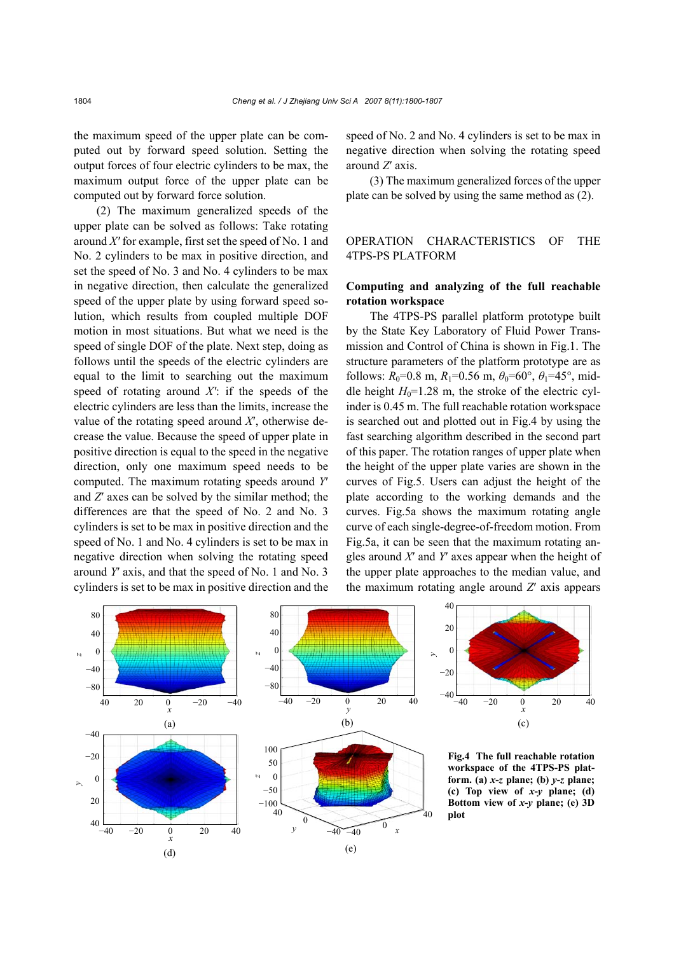the maximum speed of the upper plate can be computed out by forward speed solution. Setting the output forces of four electric cylinders to be max, the maximum output force of the upper plate can be computed out by forward force solution.

(2) The maximum generalized speeds of the upper plate can be solved as follows: Take rotating around *X′* for example, first set the speed of No. 1 and No. 2 cylinders to be max in positive direction, and set the speed of No. 3 and No. 4 cylinders to be max in negative direction, then calculate the generalized speed of the upper plate by using forward speed solution, which results from coupled multiple DOF motion in most situations. But what we need is the speed of single DOF of the plate. Next step, doing as follows until the speeds of the electric cylinders are equal to the limit to searching out the maximum speed of rotating around *X′*: if the speeds of the electric cylinders are less than the limits, increase the value of the rotating speed around *X*′, otherwise decrease the value. Because the speed of upper plate in positive direction is equal to the speed in the negative direction, only one maximum speed needs to be computed. The maximum rotating speeds around *Y*′ and *Z*′ axes can be solved by the similar method; the differences are that the speed of No. 2 and No. 3 cylinders is set to be max in positive direction and the speed of No. 1 and No. 4 cylinders is set to be max in negative direction when solving the rotating speed around *Y*′ axis, and that the speed of No. 1 and No. 3 cylinders is set to be max in positive direction and the speed of No. 2 and No. 4 cylinders is set to be max in negative direction when solving the rotating speed around *Z*′ axis.

(3) The maximum generalized forces of the upper plate can be solved by using the same method as (2).

# OPERATION CHARACTERISTICS OF THE 4TPS-PS PLATFORM

#### **Computing and analyzing of the full reachable rotation workspace**

The 4TPS-PS parallel platform prototype built by the State Key Laboratory of Fluid Power Transmission and Control of China is shown in Fig.1. The structure parameters of the platform prototype are as follows:  $R_0$ =0.8 m,  $R_1$ =0.56 m,  $\theta_0$ =60°,  $\theta_1$ =45°, middle height  $H_0$ =1.28 m, the stroke of the electric cylinder is 0.45 m. The full reachable rotation workspace is searched out and plotted out in Fig.4 by using the fast searching algorithm described in the second part of this paper. The rotation ranges of upper plate when the height of the upper plate varies are shown in the curves of Fig.5. Users can adjust the height of the plate according to the working demands and the curves. Fig.5a shows the maximum rotating angle curve of each single-degree-of-freedom motion. From Fig.5a, it can be seen that the maximum rotating angles around *X*′ and *Y*′ axes appear when the height of the upper plate approaches to the median value, and the maximum rotating angle around *Z*′ axis appears





**Fig.4 The full reachable rotation workspace of the 4TPS-PS platform. (a)** *x***-***z* **plane; (b)** *y***-***z* **plane; (c) Top view of** *x***-***y* **plane; (d) Bottom view of** *x***-***y* **plane; (e) 3D plot**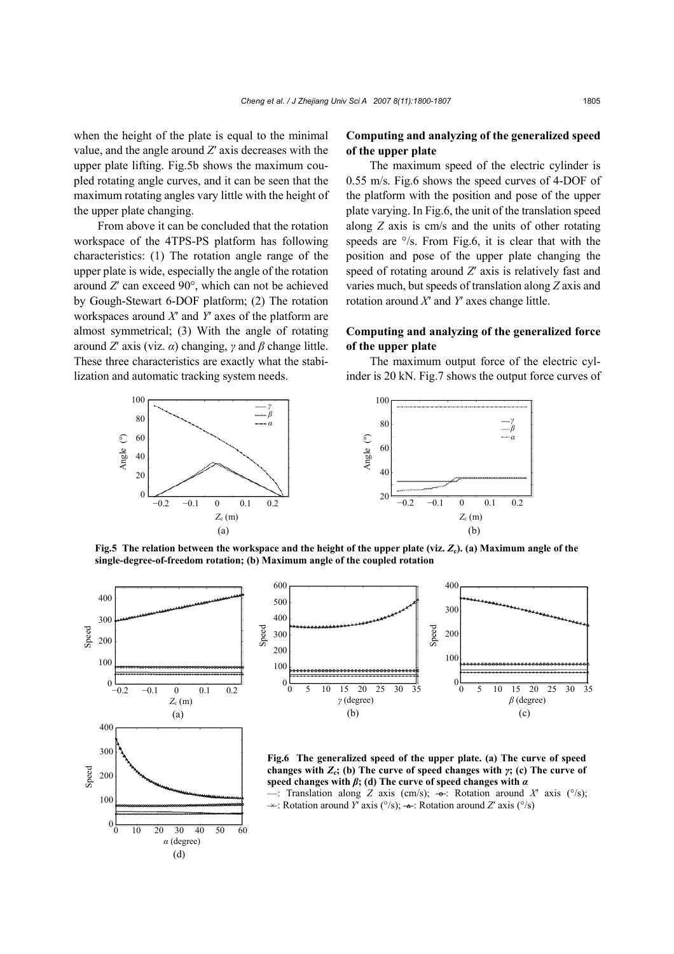when the height of the plate is equal to the minimal value, and the angle around *Z*′ axis decreases with the upper plate lifting. Fig.5b shows the maximum coupled rotating angle curves, and it can be seen that the maximum rotating angles vary little with the height of the upper plate changing.

From above it can be concluded that the rotation workspace of the 4TPS-PS platform has following characteristics: (1) The rotation angle range of the upper plate is wide, especially the angle of the rotation around *Z*′ can exceed 90°, which can not be achieved by Gough-Stewart 6-DOF platform; (2) The rotation workspaces around *X*′ and *Y*′ axes of the platform are almost symmetrical; (3) With the angle of rotating around *Z*′ axis (viz. *α*) changing, *γ* and *β* change little. These three characteristics are exactly what the stabilization and automatic tracking system needs.

# **Computing and analyzing of the generalized speed of the upper plate**

The maximum speed of the electric cylinder is 0.55 m/s. Fig.6 shows the speed curves of 4-DOF of the platform with the position and pose of the upper plate varying. In Fig.6, the unit of the translation speed along *Z* axis is cm/s and the units of other rotating speeds are  $\degree$ /s. From Fig.6, it is clear that with the position and pose of the upper plate changing the speed of rotating around *Z*′ axis is relatively fast and varies much, but speeds of translation along *Z* axis and rotation around *X*′ and *Y*′ axes change little.

# **Computing and analyzing of the generalized force of the upper plate**

The maximum output force of the electric cylinder is 20 kN. Fig.7 shows the output force curves of



100 80 60 40  $20\overline{$  -0.2 -0.1 0 0.1 0.2 Angle (°) *Z*c (m) *γ β α*

**Fig.5 The relation between the workspace and the height of the upper plate (viz.** *Z***c). (a) Maximum angle of the single-degree-of-freedom rotation; (b) Maximum angle of the coupled rotation**





**Fig.6 The generalized speed of the upper plate. (a) The curve of speed changes with** *Z***c; (b) The curve of speed changes with** *γ***; (c) The curve of speed changes with** *β***; (d) The curve of speed changes with** *α*

 $\rightarrow$ : Translation along *Z* axis (cm/s);  $\rightarrow$ : Rotation around *X'* axis (°/s); —× : Rotation around *Y*′ axis (°/s); **—**: Rotation around *Z*′ axis (°/s)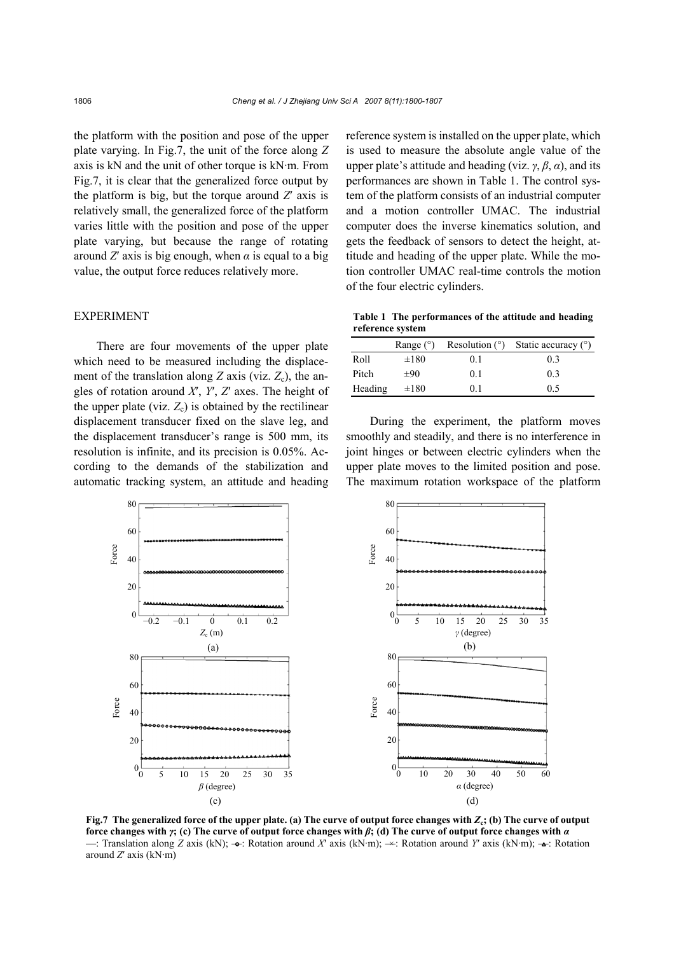the platform with the position and pose of the upper plate varying. In Fig.7, the unit of the force along *Z* axis is kN and the unit of other torque is kN·m. From Fig.7, it is clear that the generalized force output by the platform is big, but the torque around *Z*′ axis is relatively small, the generalized force of the platform varies little with the position and pose of the upper plate varying, but because the range of rotating around *Z'* axis is big enough, when  $\alpha$  is equal to a big value, the output force reduces relatively more.

#### EXPERIMENT

There are four movements of the upper plate which need to be measured including the displacement of the translation along  $Z$  axis (viz.  $Z_c$ ), the angles of rotation around *X*′, *Y*′, *Z*′ axes. The height of the upper plate (viz.  $Z_c$ ) is obtained by the rectilinear displacement transducer fixed on the slave leg, and the displacement transducer's range is 500 mm, its resolution is infinite, and its precision is 0.05%. According to the demands of the stabilization and automatic tracking system, an attitude and heading reference system is installed on the upper plate, which is used to measure the absolute angle value of the upper plate's attitude and heading (viz.  $\gamma$ ,  $\beta$ ,  $\alpha$ ), and its performances are shown in Table 1. The control system of the platform consists of an industrial computer and a motion controller UMAC. The industrial computer does the inverse kinematics solution, and gets the feedback of sensors to detect the height, attitude and heading of the upper plate. While the motion controller UMAC real-time controls the motion of the four electric cylinders.

**Table 1 The performances of the attitude and heading reference system** 

|         | Range $(°)$ |                | Resolution $(°)$ Static accuracy $(°)$ |
|---------|-------------|----------------|----------------------------------------|
| Roll    | $\pm 180$   | 01             | 03                                     |
| Pitch   | $\pm 90$    | 0 <sub>1</sub> | 0 <sup>3</sup>                         |
| Heading | $\pm 180$   | 01             | 0.5                                    |

During the experiment, the platform moves smoothly and steadily, and there is no interference in joint hinges or between electric cylinders when the upper plate moves to the limited position and pose. The maximum rotation workspace of the platform



**Fig.7** The generalized force of the upper plate. (a) The curve of output force changes with  $Z_c$ ; (b) The curve of output **force changes with** *γ***; (c) The curve of output force changes with** *β***; (d) The curve of output force changes with** *α* —: Translation along *Z* axis (kN); → : Rotation around *X'* axis (kN·m); → : Rotation around *Y'* axis (kN·m); → : Rotation around *Z*′ axis (kN·m)